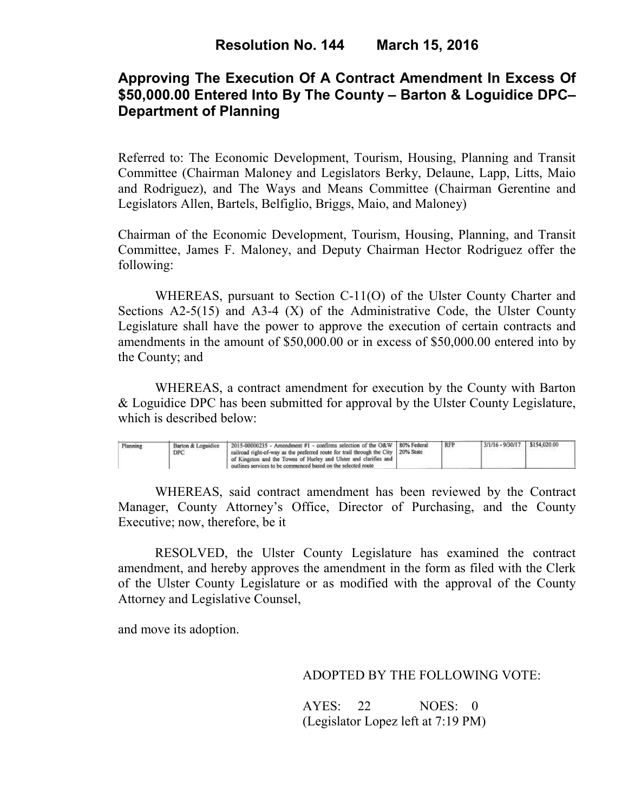# **Approving The Execution Of A Contract Amendment In Excess Of \$50,000.00 Entered Into By The County – Barton & Loguidice DPC– Department of Planning**

Referred to: The Economic Development, Tourism, Housing, Planning and Transit Committee (Chairman Maloney and Legislators Berky, Delaune, Lapp, Litts, Maio and Rodriguez), and The Ways and Means Committee (Chairman Gerentine and Legislators Allen, Bartels, Belfiglio, Briggs, Maio, and Maloney)

Chairman of the Economic Development, Tourism, Housing, Planning, and Transit Committee, James F. Maloney, and Deputy Chairman Hector Rodriguez offer the following:

WHEREAS, pursuant to Section C-11(O) of the Ulster County Charter and Sections  $A2-5(15)$  and  $A3-4(X)$  of the Administrative Code, the Ulster County Legislature shall have the power to approve the execution of certain contracts and amendments in the amount of \$50,000.00 or in excess of \$50,000.00 entered into by the County; and

 WHEREAS, a contract amendment for execution by the County with Barton & Loguidice DPC has been submitted for approval by the Ulster County Legislature, which is described below:

| Planning | Barton & Loguidice<br>DPC | 2015-00000235 - Amendment #1 - confirms selection of the O&W   80% Federal<br>railroad right-of-way as the preferred route for trail through the City   20% State<br>of Kingston and the Towns of Hurley and Ulster and clarifies and<br>outlines services to be commenced based on the selected route |  | <b>RFP</b> | $3/1/16 - 9/30/17$ \$154,020.00 |  |
|----------|---------------------------|--------------------------------------------------------------------------------------------------------------------------------------------------------------------------------------------------------------------------------------------------------------------------------------------------------|--|------------|---------------------------------|--|
|----------|---------------------------|--------------------------------------------------------------------------------------------------------------------------------------------------------------------------------------------------------------------------------------------------------------------------------------------------------|--|------------|---------------------------------|--|

WHEREAS, said contract amendment has been reviewed by the Contract Manager, County Attorney's Office, Director of Purchasing, and the County Executive; now, therefore, be it

RESOLVED, the Ulster County Legislature has examined the contract amendment, and hereby approves the amendment in the form as filed with the Clerk of the Ulster County Legislature or as modified with the approval of the County Attorney and Legislative Counsel,

and move its adoption.

## ADOPTED BY THE FOLLOWING VOTE:

AYES: 22 NOES: 0 (Legislator Lopez left at 7:19 PM)